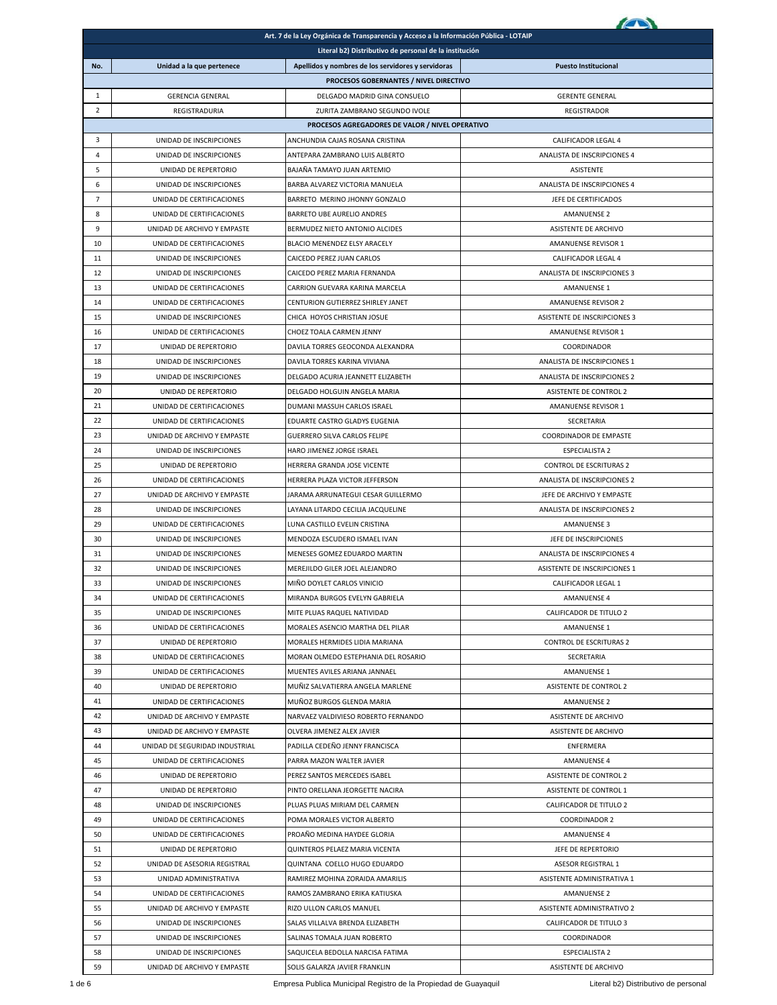| <b>CON</b><br>Art. 7 de la Ley Orgánica de Transparencia y Acceso a la Información Pública - LOTAIP<br>Literal b2) Distributivo de personal de la institución |                                                          |                                                                  |                                            |  |  |     |
|---------------------------------------------------------------------------------------------------------------------------------------------------------------|----------------------------------------------------------|------------------------------------------------------------------|--------------------------------------------|--|--|-----|
|                                                                                                                                                               |                                                          |                                                                  |                                            |  |  | No. |
|                                                                                                                                                               |                                                          | PROCESOS GOBERNANTES / NIVEL DIRECTIVO                           |                                            |  |  |     |
| $\mathbf{1}$                                                                                                                                                  | <b>GERENCIA GENERAL</b>                                  | DELGADO MADRID GINA CONSUELO                                     | <b>GERENTE GENERAL</b>                     |  |  |     |
| $\overline{2}$                                                                                                                                                | REGISTRADURIA                                            | ZURITA ZAMBRANO SEGUNDO IVOLE                                    | <b>REGISTRADOR</b>                         |  |  |     |
|                                                                                                                                                               | PROCESOS AGREGADORES DE VALOR / NIVEL OPERATIVO          |                                                                  |                                            |  |  |     |
| 3                                                                                                                                                             | UNIDAD DE INSCRIPCIONES                                  | ANCHUNDIA CAJAS ROSANA CRISTINA                                  | CALIFICADOR LEGAL 4                        |  |  |     |
| $\overline{4}$                                                                                                                                                | UNIDAD DE INSCRIPCIONES                                  | ANTEPARA ZAMBRANO LUIS ALBERTO                                   | ANALISTA DE INSCRIPCIONES 4                |  |  |     |
| 5                                                                                                                                                             | UNIDAD DE REPERTORIO                                     | BAJAÑA TAMAYO JUAN ARTEMIO                                       | ASISTENTE                                  |  |  |     |
| 6                                                                                                                                                             | UNIDAD DE INSCRIPCIONES                                  | BARBA ALVAREZ VICTORIA MANUELA                                   | ANALISTA DE INSCRIPCIONES 4                |  |  |     |
| $\overline{7}$                                                                                                                                                | UNIDAD DE CERTIFICACIONES                                | BARRETO MERINO JHONNY GONZALO                                    | JEFE DE CERTIFICADOS                       |  |  |     |
| 8                                                                                                                                                             | UNIDAD DE CERTIFICACIONES                                | BARRETO UBE AURELIO ANDRES                                       | <b>AMANUENSE 2</b>                         |  |  |     |
| 9                                                                                                                                                             | UNIDAD DE ARCHIVO Y EMPASTE                              | BERMUDEZ NIETO ANTONIO ALCIDES                                   | ASISTENTE DE ARCHIVO                       |  |  |     |
| 10                                                                                                                                                            | UNIDAD DE CERTIFICACIONES                                | BLACIO MENENDEZ ELSY ARACELY                                     | AMANUENSE REVISOR 1                        |  |  |     |
| 11                                                                                                                                                            | UNIDAD DE INSCRIPCIONES                                  | CAICEDO PEREZ JUAN CARLOS                                        | CALIFICADOR LEGAL 4                        |  |  |     |
| 12                                                                                                                                                            | UNIDAD DE INSCRIPCIONES                                  | CAICEDO PEREZ MARIA FERNANDA                                     | ANALISTA DE INSCRIPCIONES 3                |  |  |     |
| 13                                                                                                                                                            | UNIDAD DE CERTIFICACIONES                                | CARRION GUEVARA KARINA MARCELA                                   | <b>AMANUENSE 1</b>                         |  |  |     |
| 14                                                                                                                                                            | UNIDAD DE CERTIFICACIONES                                | CENTURION GUTIERREZ SHIRLEY JANET                                | <b>AMANUENSE REVISOR 2</b>                 |  |  |     |
| 15                                                                                                                                                            | UNIDAD DE INSCRIPCIONES                                  | CHICA HOYOS CHRISTIAN JOSUE                                      | <b>ASISTENTE DE INSCRIPCIONES 3</b>        |  |  |     |
| 16                                                                                                                                                            | UNIDAD DE CERTIFICACIONES                                | CHOEZ TOALA CARMEN JENNY                                         | AMANUENSE REVISOR 1                        |  |  |     |
| 17                                                                                                                                                            | UNIDAD DE REPERTORIO                                     | DAVILA TORRES GEOCONDA ALEXANDRA                                 | COORDINADOR                                |  |  |     |
| 18                                                                                                                                                            | UNIDAD DE INSCRIPCIONES                                  | DAVILA TORRES KARINA VIVIANA                                     | ANALISTA DE INSCRIPCIONES 1                |  |  |     |
| 19                                                                                                                                                            | UNIDAD DE INSCRIPCIONES                                  | DELGADO ACURIA JEANNETT ELIZABETH                                | ANALISTA DE INSCRIPCIONES 2                |  |  |     |
| 20                                                                                                                                                            | UNIDAD DE REPERTORIO                                     | DELGADO HOLGUIN ANGELA MARIA                                     | ASISTENTE DE CONTROL 2                     |  |  |     |
| 21                                                                                                                                                            | UNIDAD DE CERTIFICACIONES                                | DUMANI MASSUH CARLOS ISRAEL                                      | AMANUENSE REVISOR 1                        |  |  |     |
| 22                                                                                                                                                            | UNIDAD DE CERTIFICACIONES                                | EDUARTE CASTRO GLADYS EUGENIA                                    | SECRETARIA                                 |  |  |     |
| 23                                                                                                                                                            | UNIDAD DE ARCHIVO Y EMPASTE                              | <b>GUERRERO SILVA CARLOS FELIPE</b>                              | <b>COORDINADOR DE EMPASTE</b>              |  |  |     |
| 24                                                                                                                                                            | UNIDAD DE INSCRIPCIONES                                  | HARO JIMENEZ JORGE ISRAEL                                        | <b>ESPECIALISTA 2</b>                      |  |  |     |
| 25                                                                                                                                                            | UNIDAD DE REPERTORIO                                     | HERRERA GRANDA JOSE VICENTE                                      | <b>CONTROL DE ESCRITURAS 2</b>             |  |  |     |
| 26                                                                                                                                                            | UNIDAD DE CERTIFICACIONES                                | HERRERA PLAZA VICTOR JEFFERSON                                   | ANALISTA DE INSCRIPCIONES 2                |  |  |     |
| 27                                                                                                                                                            | UNIDAD DE ARCHIVO Y EMPASTE                              | JARAMA ARRUNATEGUI CESAR GUILLERMO                               | JEFE DE ARCHIVO Y EMPASTE                  |  |  |     |
| 28                                                                                                                                                            | UNIDAD DE INSCRIPCIONES                                  | LAYANA LITARDO CECILIA JACQUELINE                                | ANALISTA DE INSCRIPCIONES 2                |  |  |     |
| 29                                                                                                                                                            | UNIDAD DE CERTIFICACIONES                                | LUNA CASTILLO EVELIN CRISTINA                                    | <b>AMANUENSE 3</b>                         |  |  |     |
| 30                                                                                                                                                            | UNIDAD DE INSCRIPCIONES                                  | MENDOZA ESCUDERO ISMAEL IVAN                                     | JEFE DE INSCRIPCIONES                      |  |  |     |
| 31                                                                                                                                                            | UNIDAD DE INSCRIPCIONES                                  | MENESES GOMEZ EDUARDO MARTIN                                     | ANALISTA DE INSCRIPCIONES 4                |  |  |     |
| 32                                                                                                                                                            | UNIDAD DE INSCRIPCIONES                                  | MEREJILDO GILER JOEL ALEJANDRO                                   | ASISTENTE DE INSCRIPCIONES 1               |  |  |     |
| 33                                                                                                                                                            | UNIDAD DE INSCRIPCIONES                                  | MIÑO DOYLET CARLOS VINICIO                                       | CALIFICADOR LEGAL 1                        |  |  |     |
| 34                                                                                                                                                            | UNIDAD DE CERTIFICACIONES                                | MIRANDA BURGOS EVELYN GABRIELA                                   | <b>AMANUENSE 4</b>                         |  |  |     |
| 35                                                                                                                                                            | UNIDAD DE INSCRIPCIONES                                  | MITE PLUAS RAQUEL NATIVIDAD                                      | <b>CALIFICADOR DE TITULO 2</b>             |  |  |     |
| 36                                                                                                                                                            | UNIDAD DE CERTIFICACIONES                                | MORALES ASENCIO MARTHA DEL PILAR                                 | <b>AMANUENSE 1</b>                         |  |  |     |
| 37                                                                                                                                                            | UNIDAD DE REPERTORIO                                     | MORALES HERMIDES LIDIA MARIANA                                   | <b>CONTROL DE ESCRITURAS 2</b>             |  |  |     |
| 38                                                                                                                                                            | UNIDAD DE CERTIFICACIONES                                | MORAN OLMEDO ESTEPHANIA DEL ROSARIO                              | SECRETARIA                                 |  |  |     |
| 39                                                                                                                                                            | UNIDAD DE CERTIFICACIONES                                | MUENTES AVILES ARIANA JANNAEL                                    | <b>AMANUENSE 1</b>                         |  |  |     |
| 40                                                                                                                                                            | UNIDAD DE REPERTORIO                                     | MUÑIZ SALVATIERRA ANGELA MARLENE                                 | ASISTENTE DE CONTROL 2                     |  |  |     |
| 41                                                                                                                                                            | UNIDAD DE CERTIFICACIONES<br>UNIDAD DE ARCHIVO Y EMPASTE | MUÑOZ BURGOS GLENDA MARIA<br>NARVAEZ VALDIVIESO ROBERTO FERNANDO | <b>AMANUENSE 2</b><br>ASISTENTE DE ARCHIVO |  |  |     |
| 42<br>43                                                                                                                                                      | UNIDAD DE ARCHIVO Y EMPASTE                              | OLVERA JIMENEZ ALEX JAVIER                                       | ASISTENTE DE ARCHIVO                       |  |  |     |
| 44                                                                                                                                                            | UNIDAD DE SEGURIDAD INDUSTRIAL                           | PADILLA CEDEÑO JENNY FRANCISCA                                   | <b>ENFERMERA</b>                           |  |  |     |
| 45                                                                                                                                                            | UNIDAD DE CERTIFICACIONES                                | PARRA MAZON WALTER JAVIER                                        | <b>AMANUENSE 4</b>                         |  |  |     |
| 46                                                                                                                                                            | UNIDAD DE REPERTORIO                                     | PEREZ SANTOS MERCEDES ISABEL                                     | ASISTENTE DE CONTROL 2                     |  |  |     |
| 47                                                                                                                                                            | UNIDAD DE REPERTORIO                                     | PINTO ORELLANA JEORGETTE NACIRA                                  | ASISTENTE DE CONTROL 1                     |  |  |     |
| 48                                                                                                                                                            | UNIDAD DE INSCRIPCIONES                                  | PLUAS PLUAS MIRIAM DEL CARMEN                                    | <b>CALIFICADOR DE TITULO 2</b>             |  |  |     |
| 49                                                                                                                                                            | UNIDAD DE CERTIFICACIONES                                | POMA MORALES VICTOR ALBERTO                                      | <b>COORDINADOR 2</b>                       |  |  |     |
| 50                                                                                                                                                            | UNIDAD DE CERTIFICACIONES                                | PROAÑO MEDINA HAYDEE GLORIA                                      | <b>AMANUENSE 4</b>                         |  |  |     |
| 51                                                                                                                                                            | UNIDAD DE REPERTORIO                                     | QUINTEROS PELAEZ MARIA VICENTA                                   | JEFE DE REPERTORIO                         |  |  |     |
| 52                                                                                                                                                            | UNIDAD DE ASESORIA REGISTRAL                             | QUINTANA COELLO HUGO EDUARDO                                     | ASESOR REGISTRAL 1                         |  |  |     |
| 53                                                                                                                                                            | UNIDAD ADMINISTRATIVA                                    | RAMIREZ MOHINA ZORAIDA AMARILIS                                  | ASISTENTE ADMINISTRATIVA 1                 |  |  |     |
| 54                                                                                                                                                            | UNIDAD DE CERTIFICACIONES                                | RAMOS ZAMBRANO ERIKA KATIUSKA                                    | <b>AMANUENSE 2</b>                         |  |  |     |
| 55                                                                                                                                                            | UNIDAD DE ARCHIVO Y EMPASTE                              | RIZO ULLON CARLOS MANUEL                                         | ASISTENTE ADMINISTRATIVO 2                 |  |  |     |
| 56                                                                                                                                                            | UNIDAD DE INSCRIPCIONES                                  | SALAS VILLALVA BRENDA ELIZABETH                                  | <b>CALIFICADOR DE TITULO 3</b>             |  |  |     |
| 57                                                                                                                                                            | UNIDAD DE INSCRIPCIONES                                  | SALINAS TOMALA JUAN ROBERTO                                      | COORDINADOR                                |  |  |     |
| 58                                                                                                                                                            | UNIDAD DE INSCRIPCIONES                                  | SAQUICELA BEDOLLA NARCISA FATIMA                                 | <b>ESPECIALISTA 2</b>                      |  |  |     |
| 59                                                                                                                                                            | UNIDAD DE ARCHIVO Y EMPASTE                              | SOLIS GALARZA JAVIER FRANKLIN                                    | ASISTENTE DE ARCHIVO                       |  |  |     |
|                                                                                                                                                               |                                                          |                                                                  |                                            |  |  |     |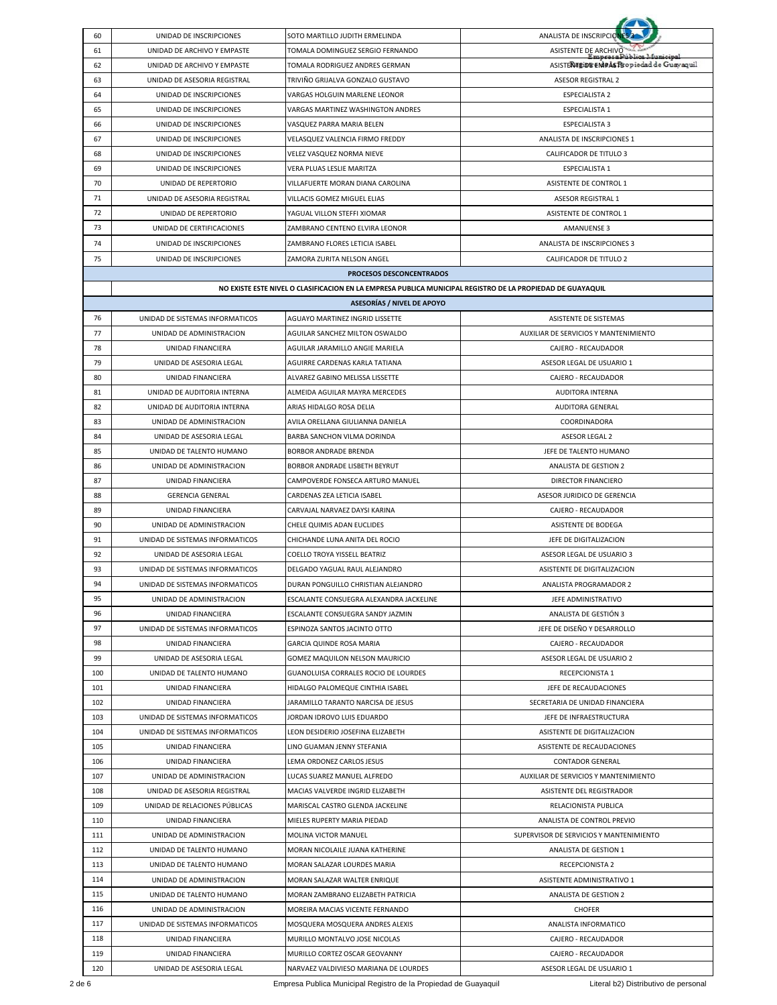| 60  | UNIDAD DE INSCRIPCIONES         | SOTO MARTILLO JUDITH ERMELINDA                                                                             | ANALISTA DE INSCRIPCI                     |
|-----|---------------------------------|------------------------------------------------------------------------------------------------------------|-------------------------------------------|
| 61  | UNIDAD DE ARCHIVO Y EMPASTE     | TOMALA DOMINGUEZ SERGIO FERNANDO                                                                           | ASISTENTE DE ARCHIVO                      |
| 62  | UNIDAD DE ARCHIVO Y EMPASTE     | TOMALA RODRIGUEZ ANDRES GERMAN                                                                             | ASISTENTE DE EMPASTE opiedad de Guayaquil |
| 63  | UNIDAD DE ASESORIA REGISTRAL    | TRIVIÑO GRIJALVA GONZALO GUSTAVO                                                                           | <b>ASESOR REGISTRAL 2</b>                 |
| 64  | UNIDAD DE INSCRIPCIONES         | VARGAS HOLGUIN MARLENE LEONOR                                                                              | <b>ESPECIALISTA 2</b>                     |
| 65  | UNIDAD DE INSCRIPCIONES         | VARGAS MARTINEZ WASHINGTON ANDRES                                                                          | <b>ESPECIALISTA 1</b>                     |
| 66  | UNIDAD DE INSCRIPCIONES         | VASQUEZ PARRA MARIA BELEN                                                                                  | <b>ESPECIALISTA 3</b>                     |
| 67  | UNIDAD DE INSCRIPCIONES         | VELASQUEZ VALENCIA FIRMO FREDDY                                                                            | ANALISTA DE INSCRIPCIONES 1               |
| 68  | UNIDAD DE INSCRIPCIONES         | VELEZ VASQUEZ NORMA NIEVE                                                                                  | <b>CALIFICADOR DE TITULO 3</b>            |
| 69  | UNIDAD DE INSCRIPCIONES         | VERA PLUAS LESLIE MARITZA                                                                                  | <b>ESPECIALISTA 1</b>                     |
| 70  | UNIDAD DE REPERTORIO            | VILLAFUERTE MORAN DIANA CAROLINA                                                                           | ASISTENTE DE CONTROL 1                    |
| 71  | UNIDAD DE ASESORIA REGISTRAL    | VILLACIS GOMEZ MIGUEL ELIAS                                                                                | ASESOR REGISTRAL 1                        |
| 72  | UNIDAD DE REPERTORIO            | YAGUAL VILLON STEFFI XIOMAR                                                                                | ASISTENTE DE CONTROL 1                    |
| 73  | UNIDAD DE CERTIFICACIONES       | ZAMBRANO CENTENO ELVIRA LEONOR                                                                             | <b>AMANUENSE 3</b>                        |
| 74  | UNIDAD DE INSCRIPCIONES         | ZAMBRANO FLORES LETICIA ISABEL                                                                             | ANALISTA DE INSCRIPCIONES 3               |
| 75  | UNIDAD DE INSCRIPCIONES         | ZAMORA ZURITA NELSON ANGEL                                                                                 | CALIFICADOR DE TITULO 2                   |
|     |                                 | <b>PROCESOS DESCONCENTRADOS</b>                                                                            |                                           |
|     |                                 | NO EXISTE ESTE NIVEL O CLASIFICACION EN LA EMPRESA PUBLICA MUNICIPAL REGISTRO DE LA PROPIEDAD DE GUAYAQUIL |                                           |
|     |                                 | <b>ASESORÍAS / NIVEL DE APOYO</b>                                                                          |                                           |
| 76  | UNIDAD DE SISTEMAS INFORMATICOS | <b>AGUAYO MARTINEZ INGRID LISSETTE</b>                                                                     | ASISTENTE DE SISTEMAS                     |
| 77  | UNIDAD DE ADMINISTRACION        | AGUILAR SANCHEZ MILTON OSWALDO                                                                             | AUXILIAR DE SERVICIOS Y MANTENIMIENTO     |
| 78  | UNIDAD FINANCIERA               | AGUILAR JARAMILLO ANGIE MARIELA                                                                            | CAJERO - RECAUDADOR                       |
| 79  | UNIDAD DE ASESORIA LEGAL        | AGUIRRE CARDENAS KARLA TATIANA                                                                             | ASESOR LEGAL DE USUARIO 1                 |
| 80  | UNIDAD FINANCIERA               | ALVAREZ GABINO MELISSA LISSETTE                                                                            | CAJERO - RECAUDADOR                       |
| 81  | UNIDAD DE AUDITORIA INTERNA     | ALMEIDA AGUILAR MAYRA MERCEDES                                                                             | AUDITORA INTERNA                          |
| 82  | UNIDAD DE AUDITORIA INTERNA     | ARIAS HIDALGO ROSA DELIA                                                                                   | AUDITORA GENERAL                          |
| 83  | UNIDAD DE ADMINISTRACION        | AVILA ORELLANA GIULIANNA DANIELA                                                                           | COORDINADORA                              |
| 84  | UNIDAD DE ASESORIA LEGAL        | BARBA SANCHON VILMA DORINDA                                                                                | ASESOR LEGAL 2                            |
| 85  | UNIDAD DE TALENTO HUMANO        | BORBOR ANDRADE BRENDA                                                                                      | JEFE DE TALENTO HUMANO                    |
| 86  | UNIDAD DE ADMINISTRACION        | BORBOR ANDRADE LISBETH BEYRUT                                                                              | ANALISTA DE GESTION 2                     |
| 87  | UNIDAD FINANCIERA               | CAMPOVERDE FONSECA ARTURO MANUEL                                                                           | DIRECTOR FINANCIERO                       |
| 88  | <b>GERENCIA GENERAL</b>         | CARDENAS ZEA LETICIA ISABEL                                                                                | ASESOR JURIDICO DE GERENCIA               |
| 89  | UNIDAD FINANCIERA               | CARVAJAL NARVAEZ DAYSI KARINA                                                                              | CAJERO - RECAUDADOR                       |
| 90  | UNIDAD DE ADMINISTRACION        | CHELE QUIMIS ADAN EUCLIDES                                                                                 | ASISTENTE DE BODEGA                       |
| 91  | UNIDAD DE SISTEMAS INFORMATICOS | CHICHANDE LUNA ANITA DEL ROCIO                                                                             | JEFE DE DIGITALIZACION                    |
| 92  | UNIDAD DE ASESORIA LEGAL        | COELLO TROYA YISSELL BEATRIZ                                                                               | ASESOR LEGAL DE USUARIO 3                 |
| 93  | UNIDAD DE SISTEMAS INFORMATICOS | DELGADO YAGUAL RAUL ALEJANDRO                                                                              | ASISTENTE DE DIGITALIZACION               |
| 94  | UNIDAD DE SISTEMAS INFORMATICOS | DURAN PONGUILLO CHRISTIAN ALEJANDRO                                                                        | ANALISTA PROGRAMADOR 2                    |
| 95  | UNIDAD DE ADMINISTRACION        | ESCALANTE CONSUEGRA ALEXANDRA JACKELINE                                                                    | JEFE ADMINISTRATIVO                       |
| 96  | UNIDAD FINANCIERA               | ESCALANTE CONSUEGRA SANDY JAZMIN                                                                           | ANALISTA DE GESTIÓN 3                     |
| 97  | UNIDAD DE SISTEMAS INFORMATICOS | ESPINOZA SANTOS JACINTO OTTO                                                                               | JEFE DE DISEÑO Y DESARROLLO               |
| 98  | UNIDAD FINANCIERA               | GARCIA QUINDE ROSA MARIA                                                                                   | CAJERO - RECAUDADOR                       |
| 99  | UNIDAD DE ASESORIA LEGAL        | GOMEZ MAQUILON NELSON MAURICIO                                                                             | ASESOR LEGAL DE USUARIO 2                 |
| 100 | UNIDAD DE TALENTO HUMANO        | GUANOLUISA CORRALES ROCIO DE LOURDES                                                                       | RECEPCIONISTA 1                           |
| 101 | <b>UNIDAD FINANCIERA</b>        | HIDALGO PALOMEQUE CINTHIA ISABEL                                                                           | JEFE DE RECAUDACIONES                     |
| 102 | UNIDAD FINANCIERA               | JARAMILLO TARANTO NARCISA DE JESUS                                                                         | SECRETARIA DE UNIDAD FINANCIERA           |
| 103 | UNIDAD DE SISTEMAS INFORMATICOS | JORDAN IDROVO LUIS EDUARDO                                                                                 | JEFE DE INFRAESTRUCTURA                   |
| 104 | UNIDAD DE SISTEMAS INFORMATICOS | LEON DESIDERIO JOSEFINA ELIZABETH                                                                          | ASISTENTE DE DIGITALIZACION               |
| 105 | UNIDAD FINANCIERA               | LINO GUAMAN JENNY STEFANIA                                                                                 | ASISTENTE DE RECAUDACIONES                |
| 106 | UNIDAD FINANCIERA               | LEMA ORDONEZ CARLOS JESUS                                                                                  | <b>CONTADOR GENERAL</b>                   |
| 107 | UNIDAD DE ADMINISTRACION        | LUCAS SUAREZ MANUEL ALFREDO                                                                                | AUXILIAR DE SERVICIOS Y MANTENIMIENTO     |
| 108 | UNIDAD DE ASESORIA REGISTRAL    | MACIAS VALVERDE INGRID ELIZABETH                                                                           | ASISTENTE DEL REGISTRADOR                 |
| 109 | UNIDAD DE RELACIONES PÚBLICAS   | MARISCAL CASTRO GLENDA JACKELINE                                                                           | RELACIONISTA PUBLICA                      |
| 110 | UNIDAD FINANCIERA               | MIELES RUPERTY MARIA PIEDAD                                                                                | ANALISTA DE CONTROL PREVIO                |
| 111 | UNIDAD DE ADMINISTRACION        | MOLINA VICTOR MANUEL                                                                                       | SUPERVISOR DE SERVICIOS Y MANTENIMIENTO   |
| 112 | UNIDAD DE TALENTO HUMANO        | MORAN NICOLAILE JUANA KATHERINE                                                                            | ANALISTA DE GESTION 1                     |
| 113 | UNIDAD DE TALENTO HUMANO        | MORAN SALAZAR LOURDES MARIA                                                                                | <b>RECEPCIONISTA 2</b>                    |
| 114 | UNIDAD DE ADMINISTRACION        | MORAN SALAZAR WALTER ENRIQUE                                                                               | ASISTENTE ADMINISTRATIVO 1                |
| 115 | UNIDAD DE TALENTO HUMANO        | MORAN ZAMBRANO ELIZABETH PATRICIA                                                                          | ANALISTA DE GESTION 2                     |
| 116 | UNIDAD DE ADMINISTRACION        | MOREIRA MACIAS VICENTE FERNANDO                                                                            | <b>CHOFER</b>                             |
| 117 | UNIDAD DE SISTEMAS INFORMATICOS | MOSQUERA MOSQUERA ANDRES ALEXIS                                                                            | ANALISTA INFORMATICO                      |
| 118 | UNIDAD FINANCIERA               | MURILLO MONTALVO JOSE NICOLAS                                                                              | CAJERO - RECAUDADOR                       |
| 119 | UNIDAD FINANCIERA               | MURILLO CORTEZ OSCAR GEOVANNY                                                                              | CAJERO - RECAUDADOR                       |
| 120 | UNIDAD DE ASESORIA LEGAL        | NARVAEZ VALDIVIESO MARIANA DE LOURDES                                                                      | ASESOR LEGAL DE USUARIO 1                 |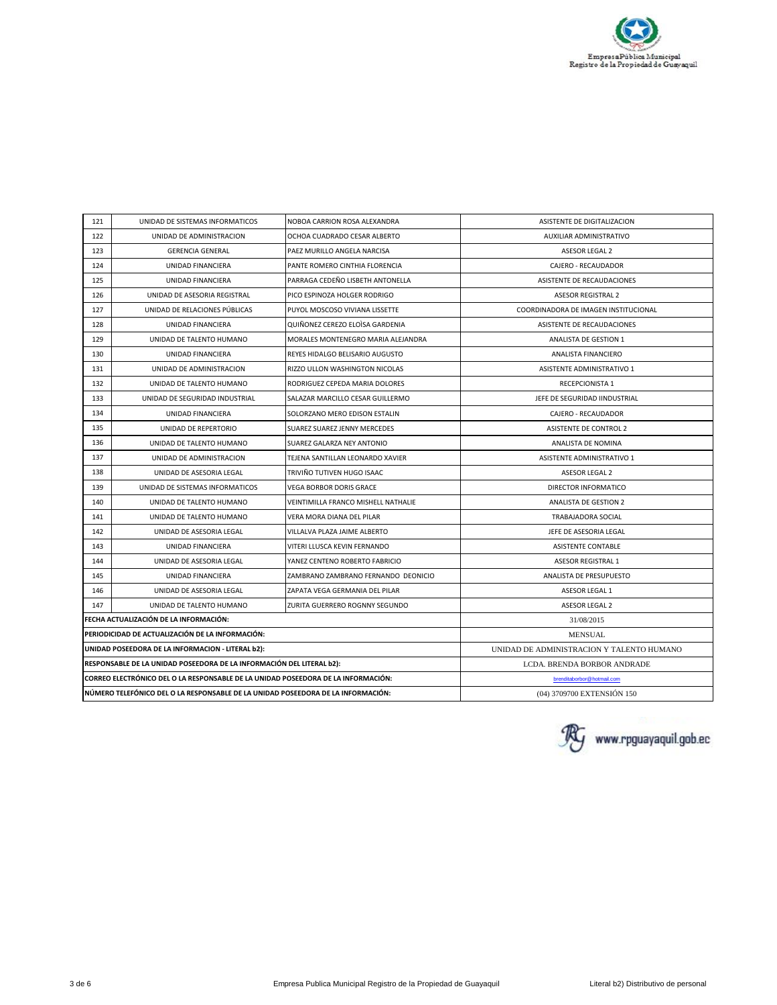

| 121                                                                               | UNIDAD DE SISTEMAS INFORMATICOS                                       | NOBOA CARRION ROSA ALEXANDRA              | ASISTENTE DE DIGITALIZACION          |
|-----------------------------------------------------------------------------------|-----------------------------------------------------------------------|-------------------------------------------|--------------------------------------|
| 122                                                                               | UNIDAD DE ADMINISTRACION                                              | OCHOA CUADRADO CESAR ALBERTO              | AUXILIAR ADMINISTRATIVO              |
| 123                                                                               | <b>GERENCIA GENERAL</b>                                               | PAEZ MURILLO ANGELA NARCISA               | ASESOR LEGAL 2                       |
| 124                                                                               | UNIDAD FINANCIERA                                                     | PANTE ROMERO CINTHIA FLORENCIA            | CAJERO - RECAUDADOR                  |
| 125                                                                               | UNIDAD FINANCIERA                                                     | PARRAGA CEDEÑO LISBETH ANTONELLA          | ASISTENTE DE RECAUDACIONES           |
| 126                                                                               | UNIDAD DE ASESORIA REGISTRAL                                          | PICO ESPINOZA HOLGER RODRIGO              | <b>ASESOR REGISTRAL 2</b>            |
| 127                                                                               | UNIDAD DE RELACIONES PÚBLICAS                                         | PUYOL MOSCOSO VIVIANA LISSETTE            | COORDINADORA DE IMAGEN INSTITUCIONAL |
| 128                                                                               | UNIDAD FINANCIERA                                                     | QUIÑONEZ CEREZO ELOÍSA GARDENIA           | ASISTENTE DE RECAUDACIONES           |
| 129                                                                               | UNIDAD DE TALENTO HUMANO                                              | MORALES MONTENEGRO MARIA ALEJANDRA        | ANALISTA DE GESTION 1                |
| 130                                                                               | UNIDAD FINANCIERA                                                     | REYES HIDALGO BELISARIO AUGUSTO           | ANALISTA FINANCIERO                  |
| 131                                                                               | UNIDAD DE ADMINISTRACION                                              | RIZZO ULLON WASHINGTON NICOLAS            | ASISTENTE ADMINISTRATIVO 1           |
| 132                                                                               | UNIDAD DE TALENTO HUMANO                                              | RODRIGUEZ CEPEDA MARIA DOLORES            | <b>RECEPCIONISTA 1</b>               |
| 133                                                                               | UNIDAD DE SEGURIDAD INDUSTRIAL                                        | SALAZAR MARCILLO CESAR GUILLERMO          | JEFE DE SEGURIDAD IINDUSTRIAL        |
| 134                                                                               | UNIDAD FINANCIERA                                                     | SOLORZANO MERO EDISON ESTALIN             | CAJERO - RECAUDADOR                  |
| 135                                                                               | UNIDAD DE REPERTORIO                                                  | SUAREZ SUAREZ JENNY MERCEDES              | <b>ASISTENTE DE CONTROL 2</b>        |
| 136                                                                               | UNIDAD DE TALENTO HUMANO                                              | SUAREZ GALARZA NEY ANTONIO                | ANALISTA DE NOMINA                   |
| 137                                                                               | UNIDAD DE ADMINISTRACION                                              | TEJENA SANTILLAN LEONARDO XAVIER          | ASISTENTE ADMINISTRATIVO 1           |
| 138                                                                               | UNIDAD DE ASESORIA LEGAL                                              | TRIVIÑO TUTIVEN HUGO ISAAC                | ASESOR LEGAL 2                       |
| 139                                                                               | UNIDAD DE SISTEMAS INFORMATICOS                                       | <b>VEGA BORBOR DORIS GRACE</b>            | DIRECTOR INFORMATICO                 |
| 140                                                                               | UNIDAD DE TALENTO HUMANO                                              | VEINTIMILLA FRANCO MISHELL NATHALIE       | ANALISTA DE GESTION 2                |
| 141                                                                               | UNIDAD DE TALENTO HUMANO                                              | <b>VERA MORA DIANA DEL PILAR</b>          | <b>TRABAJADORA SOCIAL</b>            |
| 142                                                                               | UNIDAD DE ASESORIA LEGAL                                              | VILLALVA PLAZA JAIME ALBERTO              | JEFE DE ASESORIA LEGAL               |
| 143                                                                               | UNIDAD FINANCIERA                                                     | VITERI LLUSCA KEVIN FERNANDO              | ASISTENTE CONTABLE                   |
| 144                                                                               | UNIDAD DE ASESORIA LEGAL                                              | YANEZ CENTENO ROBERTO FABRICIO            | <b>ASESOR REGISTRAL 1</b>            |
| 145                                                                               | UNIDAD FINANCIERA                                                     | ZAMBRANO ZAMBRANO FERNANDO DEONICIO       | ANALISTA DE PRESUPUESTO              |
| 146                                                                               | UNIDAD DE ASESORIA LEGAL                                              | ZAPATA VEGA GERMANIA DEL PILAR            | ASESOR LEGAL 1                       |
| 147                                                                               | UNIDAD DE TALENTO HUMANO                                              | ZURITA GUERRERO ROGNNY SEGUNDO            | ASESOR LEGAL 2                       |
|                                                                                   | FECHA ACTUALIZACIÓN DE LA INFORMACIÓN:                                | 31/08/2015                                |                                      |
|                                                                                   | PERIODICIDAD DE ACTUALIZACIÓN DE LA INFORMACIÓN:                      | <b>MENSUAL</b>                            |                                      |
|                                                                                   | UNIDAD POSEEDORA DE LA INFORMACION - LITERAL b2):                     | UNIDAD DE ADMINISTRACION Y TALENTO HUMANO |                                      |
|                                                                                   | RESPONSABLE DE LA UNIDAD POSEEDORA DE LA INFORMACIÓN DEL LITERAL b2): | LCDA. BRENDA BORBOR ANDRADE               |                                      |
| CORREO ELECTRÓNICO DEL O LA RESPONSABLE DE LA UNIDAD POSEEDORA DE LA INFORMACIÓN: |                                                                       |                                           | brenditaborbor@hotmail.com           |
| NÚMERO TELEFÓNICO DEL O LA RESPONSABLE DE LA UNIDAD POSEEDORA DE LA INFORMACIÓN:  |                                                                       |                                           | (04) 3709700 EXTENSIÓN 150           |

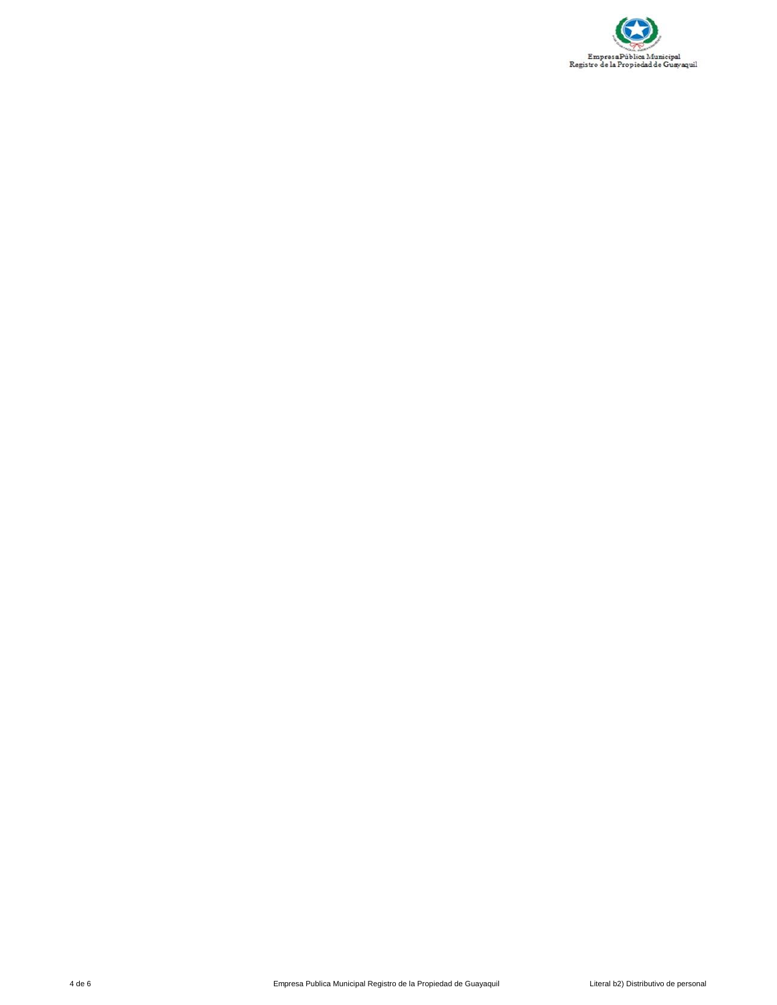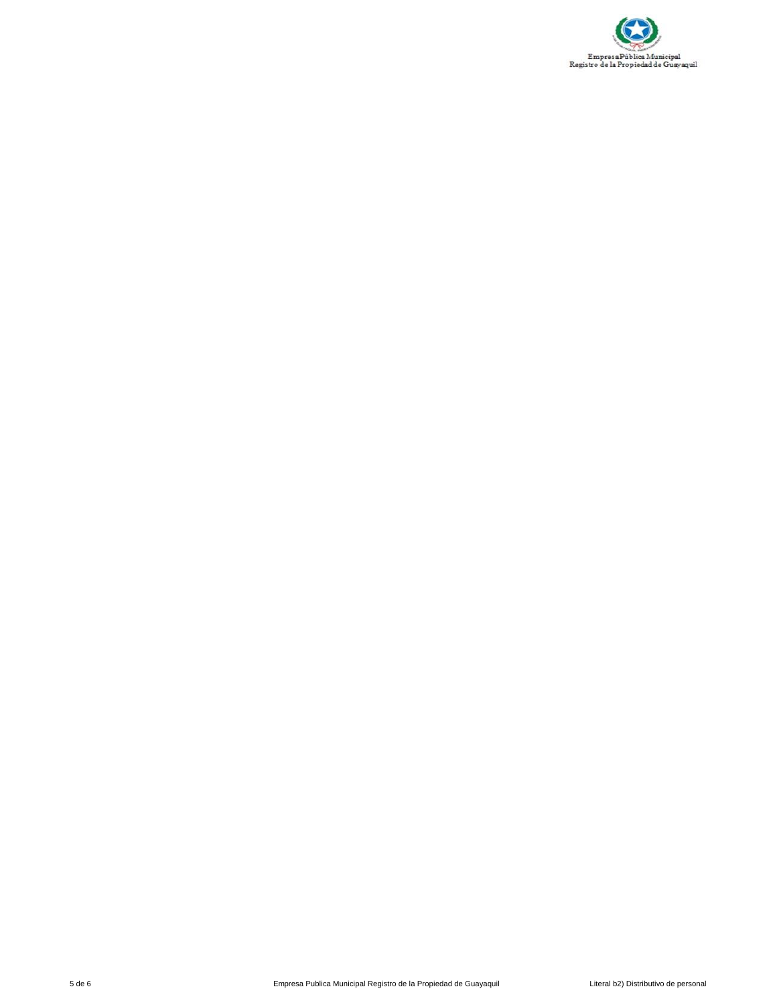